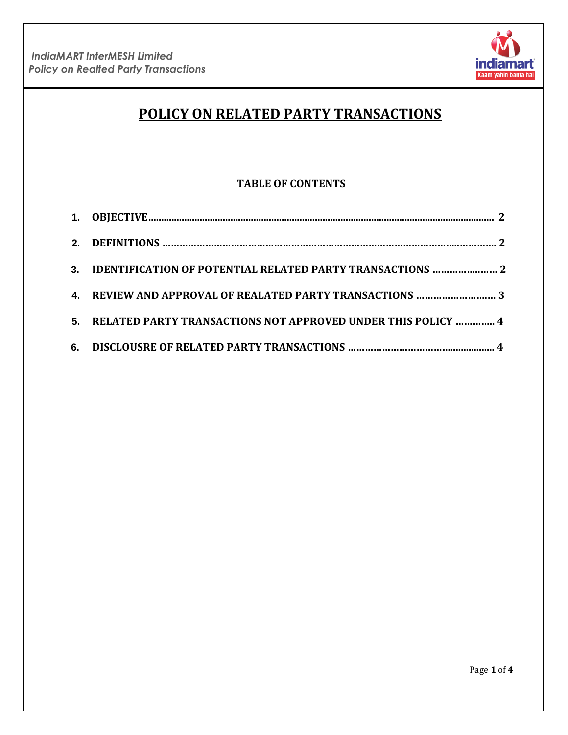

# **POLICY ON RELATED PARTY TRANSACTIONS**

# **TABLE OF CONTENTS**

| 3. IDENTIFICATION OF POTENTIAL RELATED PARTY TRANSACTIONS  2    |  |
|-----------------------------------------------------------------|--|
| 4. REVIEW AND APPROVAL OF REALATED PARTY TRANSACTIONS  3        |  |
| 5. RELATED PARTY TRANSACTIONS NOT APPROVED UNDER THIS POLICY  4 |  |
|                                                                 |  |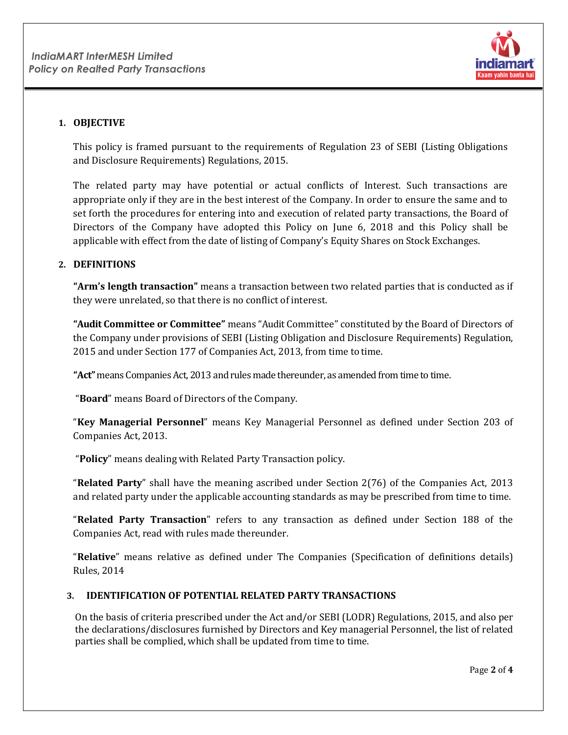

# **1. OBJECTIVE**

This policy is framed pursuant to the requirements of Regulation 23 of SEBI (Listing Obligations and Disclosure Requirements) Regulations, 2015.

The related party may have potential or actual conflicts of Interest. Such transactions are appropriate only if they are in the best interest of the Company. In order to ensure the same and to set forth the procedures for entering into and execution of related party transactions, the Board of Directors of the Company have adopted this Policy on June 6, 2018 and this Policy shall be applicable with effect from the date of listing of Company's Equity Shares on Stock Exchanges.

#### **2. DEFINITIONS**

**"Arm's length transaction"** means a transaction between two related parties that is conducted as if they were unrelated, so that there is no conflict of interest.

**"Audit Committee or Committee"** means "Audit Committee" constituted by the Board of Directors of the Company under provisions of SEBI (Listing Obligation and Disclosure Requirements) Regulation, 2015 and under Section 177 of Companies Act, 2013, from time to time.

**"Act"** means Companies Act, 2013 and rules made thereunder, as amended from time to time.

"**Board**" means Board of Directors of the Company.

"**Key Managerial Personnel**" means Key Managerial Personnel as defined under Section 203 of Companies Act, 2013.

"**Policy**" means dealing with Related Party Transaction policy.

"**Related Party**" shall have the meaning ascribed under Section 2(76) of the Companies Act, 2013 and related party under the applicable accounting standards as may be prescribed from time to time.

"**Related Party Transaction**" refers to any transaction as defined under Section 188 of the Companies Act, read with rules made thereunder.

"**Relative**" means relative as defined under The Companies (Specification of definitions details) Rules, 2014

## **3. IDENTIFICATION OF POTENTIAL RELATED PARTY TRANSACTIONS**

On the basis of criteria prescribed under the Act and/or SEBI (LODR) Regulations, 2015, and also per the declarations/disclosures furnished by Directors and Key managerial Personnel, the list of related parties shall be complied, which shall be updated from time to time.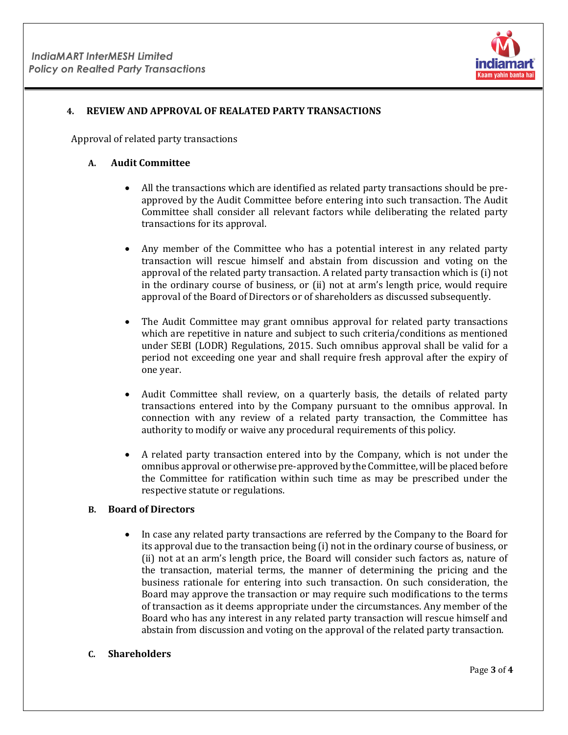

#### **4. REVIEW AND APPROVAL OF REALATED PARTY TRANSACTIONS**

Approval of related party transactions

#### **A. Audit Committee**

- All the transactions which are identified as related party transactions should be preapproved by the Audit Committee before entering into such transaction. The Audit Committee shall consider all relevant factors while deliberating the related party transactions for its approval.
- Any member of the Committee who has a potential interest in any related party transaction will rescue himself and abstain from discussion and voting on the approval of the related party transaction. A related party transaction which is (i) not in the ordinary course of business, or (ii) not at arm's length price, would require approval of the Board of Directors or of shareholders as discussed subsequently.
- The Audit Committee may grant omnibus approval for related party transactions which are repetitive in nature and subject to such criteria/conditions as mentioned under SEBI (LODR) Regulations, 2015. Such omnibus approval shall be valid for a period not exceeding one year and shall require fresh approval after the expiry of one year.
- Audit Committee shall review, on a quarterly basis, the details of related party transactions entered into by the Company pursuant to the omnibus approval. In connection with any review of a related party transaction, the Committee has authority to modify or waive any procedural requirements of this policy.
- A related party transaction entered into by the Company, which is not under the omnibus approval or otherwise pre-approved by the Committee, will be placed before the Committee for ratification within such time as may be prescribed under the respective statute or regulations.

#### **B. Board of Directors**

• In case any related party transactions are referred by the Company to the Board for its approval due to the transaction being (i) not in the ordinary course of business, or (ii) not at an arm's length price, the Board will consider such factors as, nature of the transaction, material terms, the manner of determining the pricing and the business rationale for entering into such transaction. On such consideration, the Board may approve the transaction or may require such modifications to the terms of transaction as it deems appropriate under the circumstances. Any member of the Board who has any interest in any related party transaction will rescue himself and abstain from discussion and voting on the approval of the related party transaction.

#### **C. Shareholders**